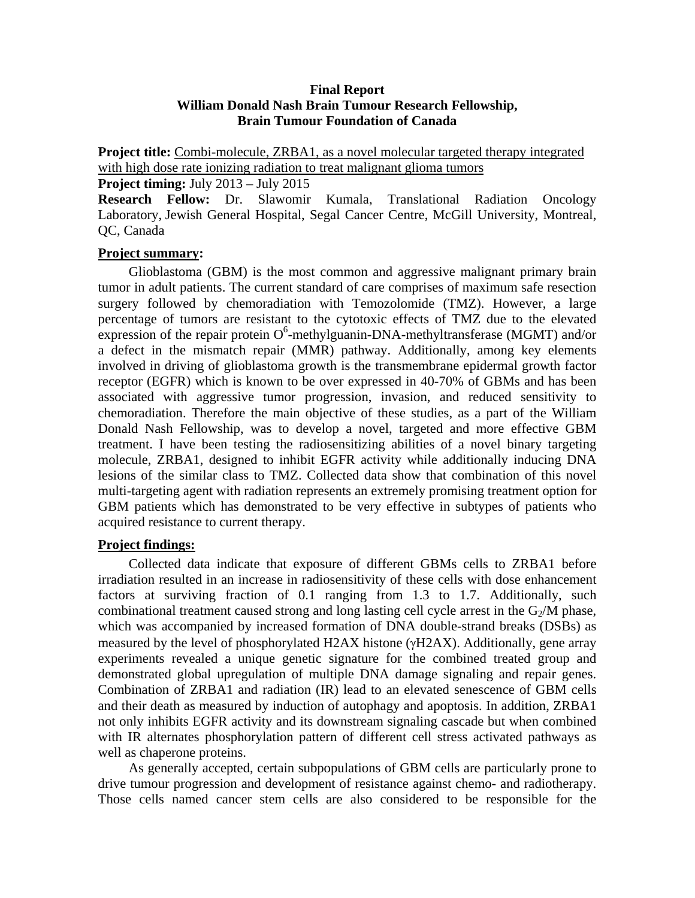### **Final Report William Donald Nash Brain Tumour Research Fellowship, Brain Tumour Foundation of Canada**

**Project title:** Combi-molecule, ZRBA1, as a novel molecular targeted therapy integrated with high dose rate ionizing radiation to treat malignant glioma tumors **Project timing:** July 2013 – July 2015

**Research Fellow:** Dr. Slawomir Kumala, Translational Radiation Oncology Laboratory, Jewish General Hospital, Segal Cancer Centre, McGill University, Montreal, QC, Canada

### **Project summary:**

Glioblastoma (GBM) is the most common and aggressive malignant primary brain tumor in adult patients. The current standard of care comprises of maximum safe resection surgery followed by chemoradiation with Temozolomide (TMZ). However, a large percentage of tumors are resistant to the cytotoxic effects of TMZ due to the elevated expression of the repair protein  $O^6$ -methylguanin-DNA-methyltransferase (MGMT) and/or a defect in the mismatch repair (MMR) pathway. Additionally, among key elements involved in driving of glioblastoma growth is the transmembrane epidermal growth factor receptor (EGFR) which is known to be over expressed in 40-70% of GBMs and has been associated with aggressive tumor progression, invasion, and reduced sensitivity to chemoradiation. Therefore the main objective of these studies, as a part of the William Donald Nash Fellowship, was to develop a novel, targeted and more effective GBM treatment. I have been testing the radiosensitizing abilities of a novel binary targeting molecule, ZRBA1, designed to inhibit EGFR activity while additionally inducing DNA lesions of the similar class to TMZ. Collected data show that combination of this novel multi-targeting agent with radiation represents an extremely promising treatment option for GBM patients which has demonstrated to be very effective in subtypes of patients who acquired resistance to current therapy.

### **Project findings:**

Collected data indicate that exposure of different GBMs cells to ZRBA1 before irradiation resulted in an increase in radiosensitivity of these cells with dose enhancement factors at surviving fraction of 0.1 ranging from 1.3 to 1.7. Additionally, such combinational treatment caused strong and long lasting cell cycle arrest in the  $G_2/M$  phase, which was accompanied by increased formation of DNA double-strand breaks (DSBs) as measured by the level of phosphorylated H2AX histone ( $\gamma$ H2AX). Additionally, gene array experiments revealed a unique genetic signature for the combined treated group and demonstrated global upregulation of multiple DNA damage signaling and repair genes. Combination of ZRBA1 and radiation (IR) lead to an elevated senescence of GBM cells and their death as measured by induction of autophagy and apoptosis. In addition, ZRBA1 not only inhibits EGFR activity and its downstream signaling cascade but when combined with IR alternates phosphorylation pattern of different cell stress activated pathways as well as chaperone proteins.

As generally accepted, certain subpopulations of GBM cells are particularly prone to drive tumour progression and development of resistance against chemo- and radiotherapy. Those cells named cancer stem cells are also considered to be responsible for the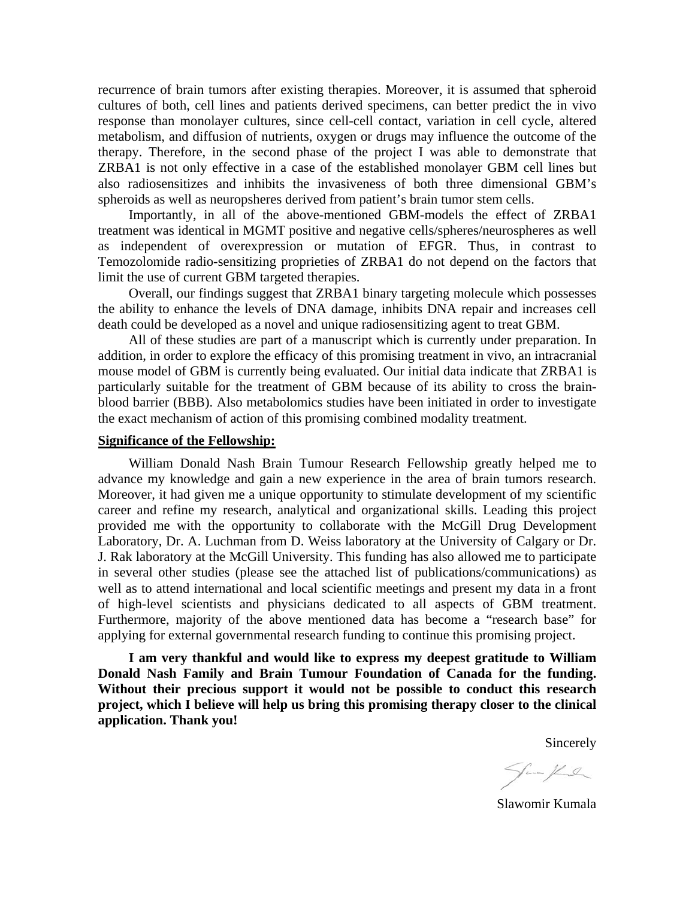recurrence of brain tumors after existing therapies. Moreover, it is assumed that spheroid cultures of both, cell lines and patients derived specimens, can better predict the in vivo response than monolayer cultures, since cell-cell contact, variation in cell cycle, altered metabolism, and diffusion of nutrients, oxygen or drugs may influence the outcome of the therapy. Therefore, in the second phase of the project I was able to demonstrate that ZRBA1 is not only effective in a case of the established monolayer GBM cell lines but also radiosensitizes and inhibits the invasiveness of both three dimensional GBM's spheroids as well as neuropsheres derived from patient's brain tumor stem cells.

Importantly, in all of the above-mentioned GBM-models the effect of ZRBA1 treatment was identical in MGMT positive and negative cells/spheres/neurospheres as well as independent of overexpression or mutation of EFGR. Thus, in contrast to Temozolomide radio-sensitizing proprieties of ZRBA1 do not depend on the factors that limit the use of current GBM targeted therapies.

Overall, our findings suggest that ZRBA1 binary targeting molecule which possesses the ability to enhance the levels of DNA damage, inhibits DNA repair and increases cell death could be developed as a novel and unique radiosensitizing agent to treat GBM.

All of these studies are part of a manuscript which is currently under preparation. In addition, in order to explore the efficacy of this promising treatment in vivo, an intracranial mouse model of GBM is currently being evaluated. Our initial data indicate that ZRBA1 is particularly suitable for the treatment of GBM because of its ability to cross the brainblood barrier (BBB). Also metabolomics studies have been initiated in order to investigate the exact mechanism of action of this promising combined modality treatment.

#### **Significance of the Fellowship:**

William Donald Nash Brain Tumour Research Fellowship greatly helped me to advance my knowledge and gain a new experience in the area of brain tumors research. Moreover, it had given me a unique opportunity to stimulate development of my scientific career and refine my research, analytical and organizational skills. Leading this project provided me with the opportunity to collaborate with the McGill Drug Development Laboratory, Dr. A. Luchman from D. Weiss laboratory at the University of Calgary or Dr. J. Rak laboratory at the McGill University. This funding has also allowed me to participate in several other studies (please see the attached list of publications/communications) as well as to attend international and local scientific meetings and present my data in a front of high-level scientists and physicians dedicated to all aspects of GBM treatment. Furthermore, majority of the above mentioned data has become a "research base" for applying for external governmental research funding to continue this promising project.

**I am very thankful and would like to express my deepest gratitude to William Donald Nash Family and Brain Tumour Foundation of Canada for the funding. Without their precious support it would not be possible to conduct this research project, which I believe will help us bring this promising therapy closer to the clinical application. Thank you!** 

Sincerely

Jan Hul

Slawomir Kumala